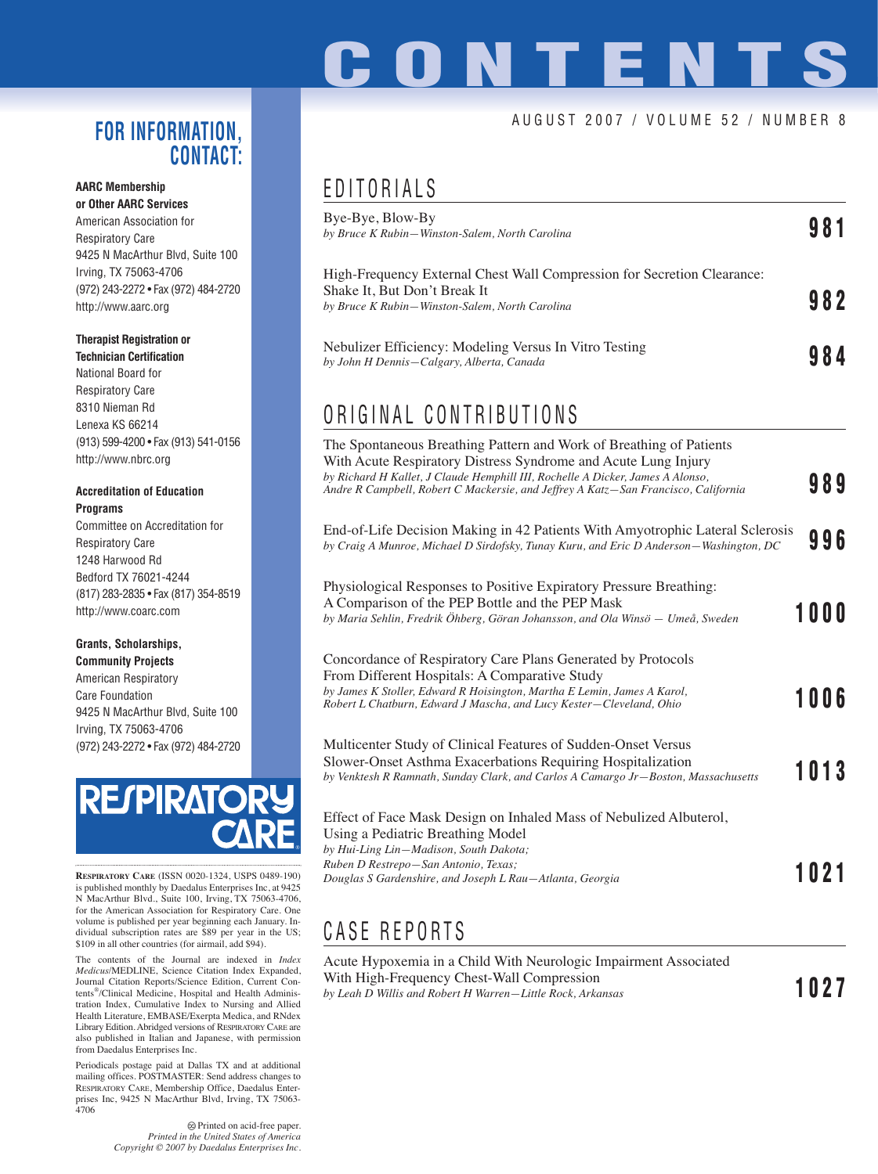# **ONTENT**

#### AUGUST 2007 / VOLUME 52 / NUMBER 8

#### **FOR INFORMATION, CONTACT:**

#### **AARC Membership or Other AARC Services**

American Association for Respiratory Care 9425 N MacArthur Blvd, Suite 100 Irving, TX 75063-4706 (972) 243-2272 • Fax (972) 484-2720 http://www.aarc.org

#### **Therapist Registration or**

**Technician Certification** National Board for Respiratory Care 8310 Nieman Rd Lenexa KS 66214 (913) 599-4200 • Fax (913) 541-0156 http://www.nbrc.org

#### **Accreditation of Education Programs**

Committee on Accreditation for Respiratory Care 1248 Harwood Rd Bedford TX 76021-4244 (817) 283-2835 • Fax (817) 354-8519 http://www.coarc.com

#### **Grants, Scholarships,**

**Community Projects** American Respiratory Care Foundation 9425 N MacArthur Blvd, Suite 100 Irving, TX 75063-4706 (972) 243-2272 • Fax (972) 484-2720



**RESPIRATORY CARE** (ISSN 0020-1324, USPS 0489-190) is published monthly by Daedalus Enterprises Inc, at 9425 N MacArthur Blvd., Suite 100, Irving, TX 75063-4706, for the American Association for Respiratory Care. One volume is published per year beginning each January. Individual subscription rates are \$89 per year in the US; \$109 in all other countries (for airmail, add \$94).

The contents of the Journal are indexed in *Index Medicus*/MEDLINE, Science Citation Index Expanded, Journal Citation Reports/Science Edition, Current Contents®/Clinical Medicine, Hospital and Health Administration Index, Cumulative Index to Nursing and Allied Health Literature, EMBASE/Exerpta Medica, and RNdex Library Edition. Abridged versions of RESPIRATORY CARE are also published in Italian and Japanese, with permission from Daedalus Enterprises Inc.

Periodicals postage paid at Dallas TX and at additional mailing offices. POSTMASTER: Send address changes to RESPIRATORY CARE, Membership Office, Daedalus Enterprises Inc, 9425 N MacArthur Blvd, Irving, TX 75063- 4706

> $\otimes$  Printed on acid-free paper. *Printed in the United States of America Copyright © 2007 by Daedalus Enterprises Inc.*

### EDITORIALS

| L VII V N I A L J                                                                                                                                                                                                                                                                                             |      |      |
|---------------------------------------------------------------------------------------------------------------------------------------------------------------------------------------------------------------------------------------------------------------------------------------------------------------|------|------|
| Bye-Bye, Blow-By<br>by Bruce K Rubin-Winston-Salem, North Carolina                                                                                                                                                                                                                                            | 981  |      |
| High-Frequency External Chest Wall Compression for Secretion Clearance:<br>Shake It, But Don't Break It<br>by Bruce K Rubin-Winston-Salem, North Carolina                                                                                                                                                     |      | 982  |
| Nebulizer Efficiency: Modeling Versus In Vitro Testing<br>by John H Dennis-Calgary, Alberta, Canada                                                                                                                                                                                                           |      | 984  |
| ORIGINAL CONTRIBUTIONS                                                                                                                                                                                                                                                                                        |      |      |
| The Spontaneous Breathing Pattern and Work of Breathing of Patients<br>With Acute Respiratory Distress Syndrome and Acute Lung Injury<br>by Richard H Kallet, J Claude Hemphill III, Rochelle A Dicker, James A Alonso,<br>Andre R Campbell, Robert C Mackersie, and Jeffrey A Katz-San Francisco, California |      | 989  |
| End-of-Life Decision Making in 42 Patients With Amyotrophic Lateral Sclerosis<br>by Craig A Munroe, Michael D Sirdofsky, Tunay Kuru, and Eric D Anderson-Washington, DC                                                                                                                                       |      | 996  |
| Physiological Responses to Positive Expiratory Pressure Breathing:<br>A Comparison of the PEP Bottle and the PEP Mask<br>by Maria Sehlin, Fredrik Öhberg, Göran Johansson, and Ola Winsö - Umeå, Sweden                                                                                                       |      | 1000 |
| Concordance of Respiratory Care Plans Generated by Protocols<br>From Different Hospitals: A Comparative Study<br>by James K Stoller, Edward R Hoisington, Martha E Lemin, James A Karol,<br>Robert L Chatburn, Edward J Mascha, and Lucy Kester–Cleveland, Ohio                                               |      | 1006 |
| Multicenter Study of Clinical Features of Sudden-Onset Versus<br>Slower-Onset Asthma Exacerbations Requiring Hospitalization<br>by Venktesh R Ramnath, Sunday Clark, and Carlos A Camargo Jr-Boston, Massachusetts                                                                                            |      | 1013 |
| Effect of Face Mask Design on Inhaled Mass of Nebulized Albuterol,<br>Using a Pediatric Breathing Model<br>by Hui-Ling Lin-Madison, South Dakota;                                                                                                                                                             |      |      |
| Ruben D Restrepo-San Antonio, Texas;<br>Douglas S Gardenshire, and Joseph L Rau-Atlanta, Georgia                                                                                                                                                                                                              | 1021 |      |

### CASE REPORTS

Acute Hypoxemia in a Child With Neurologic Impairment Associated With High-Frequency Chest-Wall Compression *by Leah D Willis and Robert H Warren—Little Rock, Arkansas* **1027**